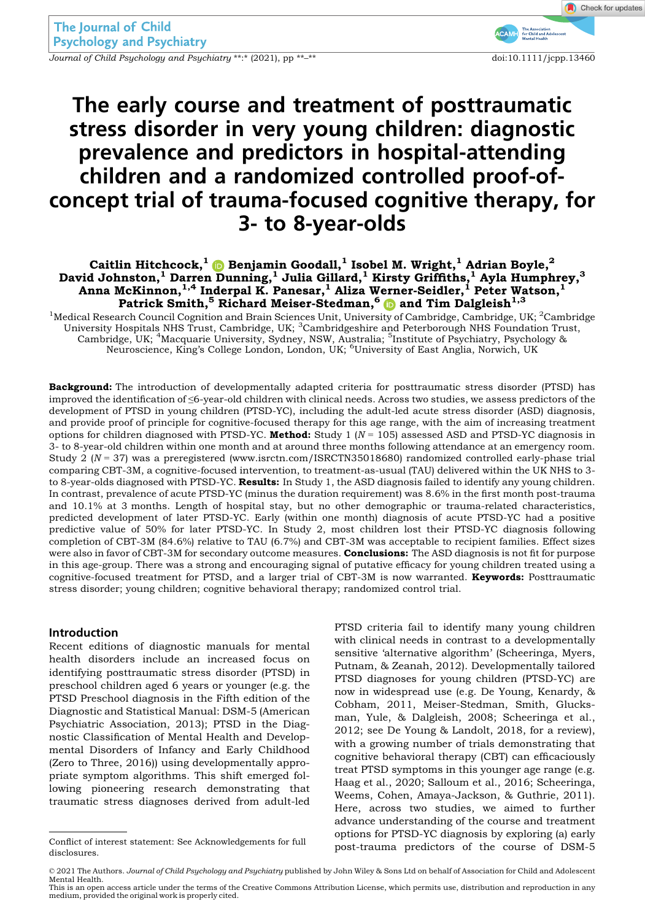Journal of Child Psychology and Psychiatry \*\*:\* (2021), pp \*\*<sup>-\*\*</sup> doi:10.1111/jcpp.13460

# The early course and treatment of posttraumatic stress disorder in very young children: diagnostic prevalence and predictors in hospital-attending children and a randomized controlled proof-ofconcept trial of trauma-focused cognitive therapy, for 3- to 8-year-olds

# Caitlin Hitchcock, $^{1}$   $\text{\textregistered}$  Benjamin Goodall, $^{1}$  Isobel M. Wright, $^{1}$  Adrian Boyle, $^{2}$ David Johnston, $^1$  Darren Dunning, $^1$  Julia Gillard, $^1$  Kirsty Griffiths, $^1$  Ayla Humphrey, $^3$ Anna McKinnon, $^{1,4}$  Inderpal K. Panesar, $^1$  Aliza Werner-Seidler, $^1$  Peter Watson, $^1$ Patrick Smith,<sup>5</sup> Richard Meiser-Stedman,<sup>[6](https://orcid.org/0000-0002-0262-623X)</sup> and Tim Dalgleish<sup>1,3</sup>

 $^1$ Medical Research Council Cognition and Brain Sciences Unit, University of Cambridge, Cambridge, UK;  $^2$ Cambridge University Hospitals NHS Trust, Cambridge, UK; <sup>3</sup>Cambridgeshire and Peterborough NHS Foundation Trust, Cambridge, UK; <sup>4</sup>Macquarie University, Sydney, NSW, Australia; <sup>5</sup>Institute of Psychiatry, Psychology & Neuroscience, King's College London, London, UK; <sup>6</sup>University of East Anglia, Norwich, UK

Background: The introduction of developmentally adapted criteria for posttraumatic stress disorder (PTSD) has improved the identification of ≤6-year-old children with clinical needs. Across two studies, we assess predictors of the development of PTSD in young children (PTSD-YC), including the adult-led acute stress disorder (ASD) diagnosis, and provide proof of principle for cognitive-focused therapy for this age range, with the aim of increasing treatment options for children diagnosed with PTSD-YC. Method: Study 1  $(N = 105)$  assessed ASD and PTSD-YC diagnosis in 3- to 8-year-old children within one month and at around three months following attendance at an emergency room. Study 2 ( $N = 37$ ) was a preregistered ([www.isrctn.com/ISRCTN35018680](http://www.isrctn.com/ISRCTN35018680)) randomized controlled early-phase trial comparing CBT-3M, a cognitive-focused intervention, to treatment-as-usual (TAU) delivered within the UK NHS to 3 to 8-year-olds diagnosed with PTSD-YC. Results: In Study 1, the ASD diagnosis failed to identify any young children. In contrast, prevalence of acute PTSD-YC (minus the duration requirement) was 8.6% in the first month post-trauma and 10.1% at 3 months. Length of hospital stay, but no other demographic or trauma-related characteristics, predicted development of later PTSD-YC. Early (within one month) diagnosis of acute PTSD-YC had a positive predictive value of 50% for later PTSD-YC. In Study 2, most children lost their PTSD-YC diagnosis following completion of CBT-3M (84.6%) relative to TAU (6.7%) and CBT-3M was acceptable to recipient families. Effect sizes were also in favor of CBT-3M for secondary outcome measures. **Conclusions:** The ASD diagnosis is not fit for purpose in this age-group. There was a strong and encouraging signal of putative efficacy for young children treated using a cognitive-focused treatment for PTSD, and a larger trial of CBT-3M is now warranted. Keywords: Posttraumatic stress disorder; young children; cognitive behavioral therapy; randomized control trial.

## Introduction

Recent editions of diagnostic manuals for mental health disorders include an increased focus on identifying posttraumatic stress disorder (PTSD) in preschool children aged 6 years or younger (e.g. the PTSD Preschool diagnosis in the Fifth edition of the Diagnostic and Statistical Manual: DSM-5 (American Psychiatric Association, 2013); PTSD in the Diagnostic Classification of Mental Health and Developmental Disorders of Infancy and Early Childhood (Zero to Three, 2016)) using developmentally appropriate symptom algorithms. This shift emerged following pioneering research demonstrating that traumatic stress diagnoses derived from adult-led

PTSD criteria fail to identify many young children with clinical needs in contrast to a developmentally sensitive 'alternative algorithm' (Scheeringa, Myers, Putnam, & Zeanah, 2012). Developmentally tailored PTSD diagnoses for young children (PTSD-YC) are now in widespread use (e.g. De Young, Kenardy, & Cobham, 2011, Meiser-Stedman, Smith, Glucksman, Yule, & Dalgleish, 2008; Scheeringa et al., 2012; see De Young & Landolt, 2018, for a review), with a growing number of trials demonstrating that cognitive behavioral therapy (CBT) can efficaciously treat PTSD symptoms in this younger age range (e.g. Haag et al., 2020; Salloum et al., 2016; Scheeringa, Weems, Cohen, Amaya-Jackson, & Guthrie, 2011). Here, across two studies, we aimed to further advance understanding of the course and treatment options for PTSD-YC diagnosis by exploring (a) early

This is an open access article under the terms of the [Creative Commons Attribution](http://creativecommons.org/licenses/by/4.0/) License, which permits use, distribution and reproduction in any medium, provided the original work is properly cited.

post-trauma predictors of the course of DSM-5 Conflict of interest statement: See Acknowledgements for full disclosures.

<sup>© 2021</sup> The Authors. Journal of Child Psychology and Psychiatry published by John Wiley & Sons Ltd on behalf of Association for Child and Adolescent Mental Health.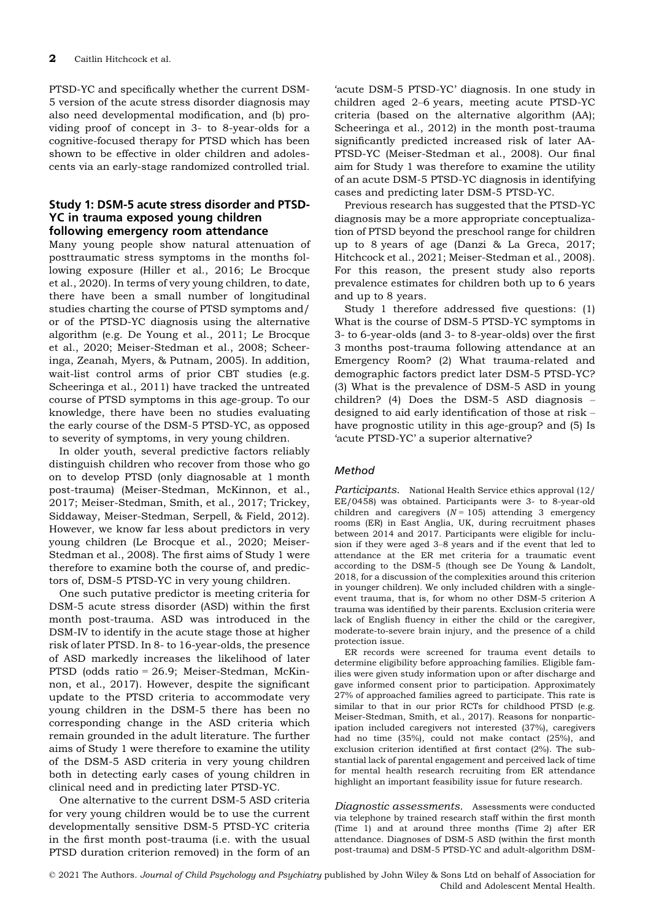PTSD-YC and specifically whether the current DSM-5 version of the acute stress disorder diagnosis may also need developmental modification, and (b) providing proof of concept in 3- to 8-year-olds for a cognitive-focused therapy for PTSD which has been shown to be effective in older children and adolescents via an early-stage randomized controlled trial.

## Study 1: DSM-5 acute stress disorder and PTSD-YC in trauma exposed young children following emergency room attendance

Many young people show natural attenuation of posttraumatic stress symptoms in the months following exposure (Hiller et al., 2016; Le Brocque et al., 2020). In terms of very young children, to date, there have been a small number of longitudinal studies charting the course of PTSD symptoms and/ or of the PTSD-YC diagnosis using the alternative algorithm (e.g. De Young et al., 2011; Le Brocque et al., 2020; Meiser-Stedman et al., 2008; Scheeringa, Zeanah, Myers, & Putnam, 2005). In addition, wait-list control arms of prior CBT studies (e.g. Scheeringa et al., 2011) have tracked the untreated course of PTSD symptoms in this age-group. To our knowledge, there have been no studies evaluating the early course of the DSM-5 PTSD-YC, as opposed to severity of symptoms, in very young children.

In older youth, several predictive factors reliably distinguish children who recover from those who go on to develop PTSD (only diagnosable at 1 month post-trauma) (Meiser-Stedman, McKinnon, et al., 2017; Meiser-Stedman, Smith, et al., 2017; Trickey, Siddaway, Meiser-Stedman, Serpell, & Field, 2012). However, we know far less about predictors in very young children (Le Brocque et al., 2020; Meiser-Stedman et al., 2008). The first aims of Study 1 were therefore to examine both the course of, and predictors of, DSM-5 PTSD-YC in very young children.

One such putative predictor is meeting criteria for DSM-5 acute stress disorder (ASD) within the first month post-trauma. ASD was introduced in the DSM-IV to identify in the acute stage those at higher risk of later PTSD. In 8- to 16-year-olds, the presence of ASD markedly increases the likelihood of later PTSD (odds ratio = 26.9; Meiser-Stedman, McKinnon, et al., 2017). However, despite the significant update to the PTSD criteria to accommodate very young children in the DSM-5 there has been no corresponding change in the ASD criteria which remain grounded in the adult literature. The further aims of Study 1 were therefore to examine the utility of the DSM-5 ASD criteria in very young children both in detecting early cases of young children in clinical need and in predicting later PTSD-YC.

One alternative to the current DSM-5 ASD criteria for very young children would be to use the current developmentally sensitive DSM-5 PTSD-YC criteria in the first month post-trauma (i.e. with the usual PTSD duration criterion removed) in the form of an

'acute DSM-5 PTSD-YC' diagnosis. In one study in children aged 2–6 years, meeting acute PTSD-YC criteria (based on the alternative algorithm (AA); Scheeringa et al., 2012) in the month post-trauma significantly predicted increased risk of later AA-PTSD-YC (Meiser-Stedman et al., 2008). Our final aim for Study 1 was therefore to examine the utility of an acute DSM-5 PTSD-YC diagnosis in identifying cases and predicting later DSM-5 PTSD-YC.

Previous research has suggested that the PTSD-YC diagnosis may be a more appropriate conceptualization of PTSD beyond the preschool range for children up to 8 years of age (Danzi & La Greca, 2017; Hitchcock et al., 2021; Meiser-Stedman et al., 2008). For this reason, the present study also reports prevalence estimates for children both up to 6 years and up to 8 years.

Study 1 therefore addressed five questions: (1) What is the course of DSM-5 PTSD-YC symptoms in 3- to 6-year-olds (and 3- to 8-year-olds) over the first 3 months post-trauma following attendance at an Emergency Room? (2) What trauma-related and demographic factors predict later DSM-5 PTSD-YC? (3) What is the prevalence of DSM-5 ASD in young children? (4) Does the DSM-5 ASD diagnosis – designed to aid early identification of those at risk – have prognostic utility in this age-group? and (5) Is 'acute PTSD-YC' a superior alternative?

## Method

Participants. National Health Service ethics approval (12/ EE/0458) was obtained. Participants were 3- to 8-year-old children and caregivers  $(N = 105)$  attending 3 emergency rooms (ER) in East Anglia, UK, during recruitment phases between 2014 and 2017. Participants were eligible for inclusion if they were aged 3–8 years and if the event that led to attendance at the ER met criteria for a traumatic event according to the DSM-5 (though see De Young & Landolt, 2018, for a discussion of the complexities around this criterion in younger children). We only included children with a singleevent trauma, that is, for whom no other DSM-5 criterion A trauma was identified by their parents. Exclusion criteria were lack of English fluency in either the child or the caregiver, moderate-to-severe brain injury, and the presence of a child protection issue.

ER records were screened for trauma event details to determine eligibility before approaching families. Eligible families were given study information upon or after discharge and gave informed consent prior to participation. Approximately 27% of approached families agreed to participate. This rate is similar to that in our prior RCTs for childhood PTSD (e.g. Meiser-Stedman, Smith, et al., 2017). Reasons for nonparticipation included caregivers not interested (37%), caregivers had no time (35%), could not make contact (25%), and exclusion criterion identified at first contact (2%). The substantial lack of parental engagement and perceived lack of time for mental health research recruiting from ER attendance highlight an important feasibility issue for future research.

Diagnostic assessments. Assessments were conducted via telephone by trained research staff within the first month (Time 1) and at around three months (Time 2) after ER attendance. Diagnoses of DSM-5 ASD (within the first month post-trauma) and DSM-5 PTSD-YC and adult-algorithm DSM-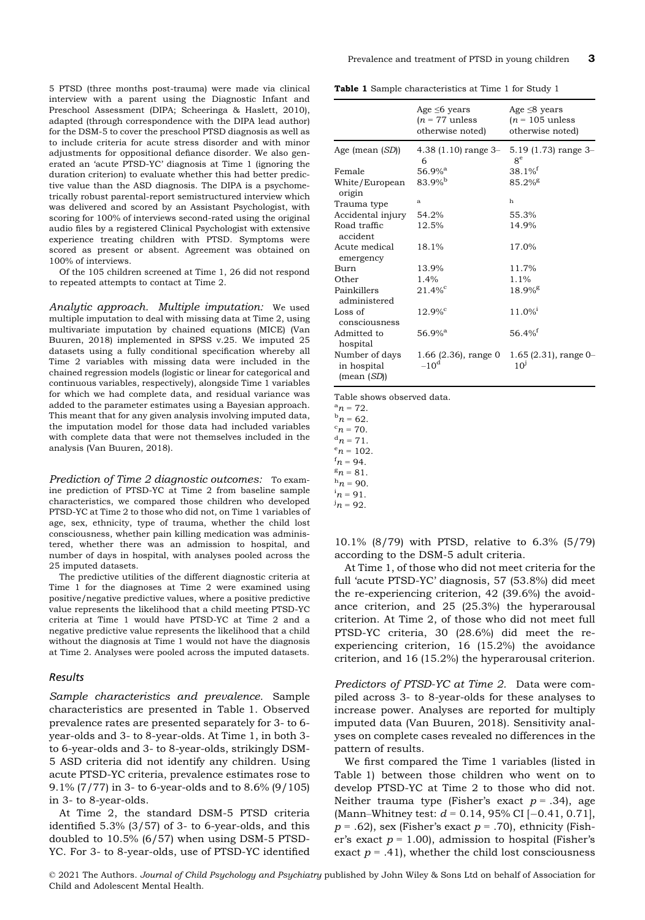5 PTSD (three months post-trauma) were made via clinical interview with a parent using the Diagnostic Infant and Preschool Assessment (DIPA; Scheeringa & Haslett, 2010), adapted (through correspondence with the DIPA lead author) for the DSM-5 to cover the preschool PTSD diagnosis as well as to include criteria for acute stress disorder and with minor adjustments for oppositional defiance disorder. We also generated an 'acute PTSD-YC' diagnosis at Time 1 (ignoring the duration criterion) to evaluate whether this had better predictive value than the ASD diagnosis. The DIPA is a psychometrically robust parental-report semistructured interview which was delivered and scored by an Assistant Psychologist, with scoring for 100% of interviews second-rated using the original audio files by a registered Clinical Psychologist with extensive experience treating children with PTSD. Symptoms were scored as present or absent. Agreement was obtained on 100% of interviews.

Of the 105 children screened at Time 1, 26 did not respond to repeated attempts to contact at Time 2.

Analytic approach. Multiple imputation: We used multiple imputation to deal with missing data at Time 2, using multivariate imputation by chained equations (MICE) (Van Buuren, 2018) implemented in SPSS v.25. We imputed 25 datasets using a fully conditional specification whereby all Time 2 variables with missing data were included in the chained regression models (logistic or linear for categorical and continuous variables, respectively), alongside Time 1 variables for which we had complete data, and residual variance was added to the parameter estimates using a Bayesian approach. This meant that for any given analysis involving imputed data, the imputation model for those data had included variables with complete data that were not themselves included in the analysis (Van Buuren, 2018).

Prediction of Time 2 diagnostic outcomes: To examine prediction of PTSD-YC at Time 2 from baseline sample characteristics, we compared those children who developed PTSD-YC at Time 2 to those who did not, on Time 1 variables of age, sex, ethnicity, type of trauma, whether the child lost consciousness, whether pain killing medication was administered, whether there was an admission to hospital, and number of days in hospital, with analyses pooled across the 25 imputed datasets.

The predictive utilities of the different diagnostic criteria at Time 1 for the diagnoses at Time 2 were examined using positive/negative predictive values, where a positive predictive value represents the likelihood that a child meeting PTSD-YC criteria at Time 1 would have PTSD-YC at Time 2 and a negative predictive value represents the likelihood that a child without the diagnosis at Time 1 would not have the diagnosis at Time 2. Analyses were pooled across the imputed datasets.

#### Results

Sample characteristics and prevalence. Sample characteristics are presented in Table 1. Observed prevalence rates are presented separately for 3- to 6 year-olds and 3- to 8-year-olds. At Time 1, in both 3 to 6-year-olds and 3- to 8-year-olds, strikingly DSM-5 ASD criteria did not identify any children. Using acute PTSD-YC criteria, prevalence estimates rose to 9.1% (7/77) in 3- to 6-year-olds and to 8.6% (9/105) in 3- to 8-year-olds.

At Time 2, the standard DSM-5 PTSD criteria identified 5.3% (3/57) of 3- to 6-year-olds, and this doubled to 10.5% (6/57) when using DSM-5 PTSD-YC. For 3- to 8-year-olds, use of PTSD-YC identified

Table 1 Sample characteristics at Time 1 for Study 1

|                                             | Age $\leq 6$ years<br>$(n = 77$ unless<br>otherwise noted) | Age $\leq$ 8 years<br>$(n = 105$ unless<br>otherwise noted) |
|---------------------------------------------|------------------------------------------------------------|-------------------------------------------------------------|
| Age (mean (SD))                             | $4.38(1.10)$ range 3-<br>6                                 | $5.19$ (1.73) range 3-<br>$8^e$                             |
| Female                                      | $56.9%$ <sup>a</sup>                                       | $38.1\%$ <sup>f</sup>                                       |
| White/European<br>origin                    | $83.9%^{b}$                                                | $85.2\%$ <sup>g</sup>                                       |
| Trauma type                                 | a                                                          | h                                                           |
| Accidental injury                           | 54.2%                                                      | 55.3%                                                       |
| Road traffic<br>accident                    | 12.5%                                                      | 14.9%                                                       |
| Acute medical<br>emergency                  | 18.1%                                                      | 17.0%                                                       |
| <b>Burn</b>                                 | 13.9%                                                      | 11.7%                                                       |
| Other                                       | 1.4%                                                       | 1.1%                                                        |
| Painkillers<br>administered                 | $21.4%^{\circ}$                                            | $18.9%$ <sup>g</sup>                                        |
| Loss of<br>consciousness                    | $12.9\%$ <sup>c</sup>                                      | $11.0\%$ <sup>i</sup>                                       |
| Admitted to<br>hospital                     | $56.9%$ <sup>a</sup>                                       | $56.4%$ <sup>f</sup>                                        |
| Number of days<br>in hospital<br>(mean(SD)) | 1.66 (2.36), range 0<br>$-10^d$                            | $1.65(2.31)$ , range 0-<br>10 <sup>j</sup>                  |

Table shows observed data.

 $a_n = 72$ .  $n = 72.$ <br> $b_n = 62$ 

 $n = 62.$ <br> $n = 70.$  ${}^{\rm c}n$  = 70.<br> ${}^{\rm d}n$  = 71

 ${}^{\mathrm{a}} n$  = 71.<br> ${}^{\mathrm{e}} n$  = 100

 $n = 102$ .

 $n = 94.$ <br> $n = 81.$ 

 $n = 81$ .<br> $n = 90$ 

 $n = 90.$ <br> $n = 91$ 

10.1% (8/79) with PTSD, relative to 6.3% (5/79) according to the DSM-5 adult criteria.

At Time 1, of those who did not meet criteria for the full 'acute PTSD-YC' diagnosis, 57 (53.8%) did meet the re-experiencing criterion, 42 (39.6%) the avoidance criterion, and 25 (25.3%) the hyperarousal criterion. At Time 2, of those who did not meet full PTSD-YC criteria, 30 (28.6%) did meet the reexperiencing criterion, 16 (15.2%) the avoidance criterion, and 16 (15.2%) the hyperarousal criterion.

Predictors of PTSD-YC at Time 2. Data were compiled across 3- to 8-year-olds for these analyses to increase power. Analyses are reported for multiply imputed data (Van Buuren, 2018). Sensitivity analyses on complete cases revealed no differences in the pattern of results.

We first compared the Time 1 variables (listed in Table 1) between those children who went on to develop PTSD-YC at Time 2 to those who did not. Neither trauma type (Fisher's exact  $p = .34$ ), age (Mann–Whitney test:  $d = 0.14$ , 95% CI  $[-0.41, 0.71]$ ,  $p = .62$ ), sex (Fisher's exact  $p = .70$ ), ethnicity (Fisher's exact  $p = 1.00$ , admission to hospital (Fisher's exact  $p = .41$ , whether the child lost consciousness

 $n = 91$ .  $^{j}n = 92.$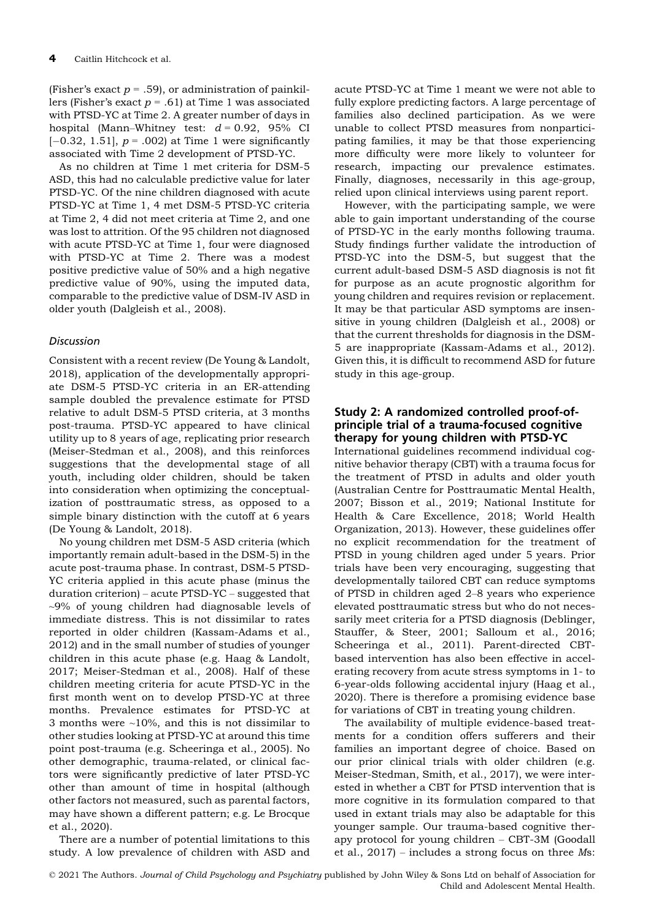(Fisher's exact  $p = .59$ ), or administration of painkillers (Fisher's exact  $p = .61$ ) at Time 1 was associated with PTSD-YC at Time 2. A greater number of days in hospital (Mann–Whitney test:  $d = 0.92$ , 95% CI  $[-0.32, 1.51]$ ,  $p = .002$ ) at Time 1 were significantly associated with Time 2 development of PTSD-YC.

As no children at Time 1 met criteria for DSM-5 ASD, this had no calculable predictive value for later PTSD-YC. Of the nine children diagnosed with acute PTSD-YC at Time 1, 4 met DSM-5 PTSD-YC criteria at Time 2, 4 did not meet criteria at Time 2, and one was lost to attrition. Of the 95 children not diagnosed with acute PTSD-YC at Time 1, four were diagnosed with PTSD-YC at Time 2. There was a modest positive predictive value of 50% and a high negative predictive value of 90%, using the imputed data, comparable to the predictive value of DSM-IV ASD in older youth (Dalgleish et al., 2008).

# Discussion

Consistent with a recent review (De Young & Landolt, 2018), application of the developmentally appropriate DSM-5 PTSD-YC criteria in an ER-attending sample doubled the prevalence estimate for PTSD relative to adult DSM-5 PTSD criteria, at 3 months post-trauma. PTSD-YC appeared to have clinical utility up to 8 years of age, replicating prior research (Meiser-Stedman et al., 2008), and this reinforces suggestions that the developmental stage of all youth, including older children, should be taken into consideration when optimizing the conceptualization of posttraumatic stress, as opposed to a simple binary distinction with the cutoff at 6 years (De Young & Landolt, 2018).

No young children met DSM-5 ASD criteria (which importantly remain adult-based in the DSM-5) in the acute post-trauma phase. In contrast, DSM-5 PTSD-YC criteria applied in this acute phase (minus the duration criterion) – acute PTSD-YC – suggested that ~9% of young children had diagnosable levels of immediate distress. This is not dissimilar to rates reported in older children (Kassam-Adams et al., 2012) and in the small number of studies of younger children in this acute phase (e.g. Haag & Landolt, 2017; Meiser-Stedman et al., 2008). Half of these children meeting criteria for acute PTSD-YC in the first month went on to develop PTSD-YC at three months. Prevalence estimates for PTSD-YC at 3 months were  $\sim$ 10%, and this is not dissimilar to other studies looking at PTSD-YC at around this time point post-trauma (e.g. Scheeringa et al., 2005). No other demographic, trauma-related, or clinical factors were significantly predictive of later PTSD-YC other than amount of time in hospital (although other factors not measured, such as parental factors, may have shown a different pattern; e.g. Le Brocque et al., 2020).

There are a number of potential limitations to this study. A low prevalence of children with ASD and

acute PTSD-YC at Time 1 meant we were not able to fully explore predicting factors. A large percentage of families also declined participation. As we were unable to collect PTSD measures from nonparticipating families, it may be that those experiencing more difficulty were more likely to volunteer for research, impacting our prevalence estimates. Finally, diagnoses, necessarily in this age-group, relied upon clinical interviews using parent report.

However, with the participating sample, we were able to gain important understanding of the course of PTSD-YC in the early months following trauma. Study findings further validate the introduction of PTSD-YC into the DSM-5, but suggest that the current adult-based DSM-5 ASD diagnosis is not fit for purpose as an acute prognostic algorithm for young children and requires revision or replacement. It may be that particular ASD symptoms are insensitive in young children (Dalgleish et al., 2008) or that the current thresholds for diagnosis in the DSM-5 are inappropriate (Kassam-Adams et al., 2012). Given this, it is difficult to recommend ASD for future study in this age-group.

## Study 2: A randomized controlled proof-ofprinciple trial of a trauma-focused cognitive therapy for young children with PTSD-YC

International guidelines recommend individual cognitive behavior therapy (CBT) with a trauma focus for the treatment of PTSD in adults and older youth (Australian Centre for Posttraumatic Mental Health, 2007; Bisson et al., 2019; National Institute for Health & Care Excellence, 2018; World Health Organization, 2013). However, these guidelines offer no explicit recommendation for the treatment of PTSD in young children aged under 5 years. Prior trials have been very encouraging, suggesting that developmentally tailored CBT can reduce symptoms of PTSD in children aged 2–8 years who experience elevated posttraumatic stress but who do not necessarily meet criteria for a PTSD diagnosis (Deblinger, Stauffer, & Steer, 2001; Salloum et al., 2016; Scheeringa et al., 2011). Parent-directed CBTbased intervention has also been effective in accelerating recovery from acute stress symptoms in 1- to 6-year-olds following accidental injury (Haag et al., 2020). There is therefore a promising evidence base for variations of CBT in treating young children.

The availability of multiple evidence-based treatments for a condition offers sufferers and their families an important degree of choice. Based on our prior clinical trials with older children (e.g. Meiser-Stedman, Smith, et al., 2017), we were interested in whether a CBT for PTSD intervention that is more cognitive in its formulation compared to that used in extant trials may also be adaptable for this younger sample. Our trauma-based cognitive therapy protocol for young children – CBT-3M (Goodall et al., 2017) – includes a strong focus on three Ms: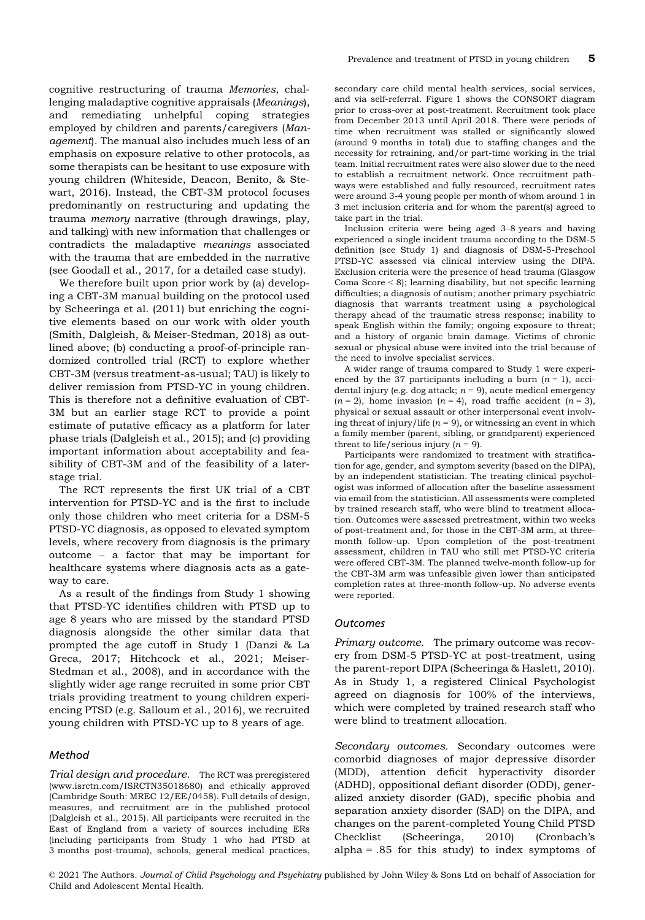cognitive restructuring of trauma Memories, challenging maladaptive cognitive appraisals (Meanings), and remediating unhelpful coping strategies employed by children and parents/caregivers (Management). The manual also includes much less of an emphasis on exposure relative to other protocols, as some therapists can be hesitant to use exposure with young children (Whiteside, Deacon, Benito, & Stewart, 2016). Instead, the CBT-3M protocol focuses predominantly on restructuring and updating the trauma memory narrative (through drawings, play, and talking) with new information that challenges or contradicts the maladaptive meanings associated with the trauma that are embedded in the narrative (see Goodall et al., 2017, for a detailed case study).

We therefore built upon prior work by (a) developing a CBT-3M manual building on the protocol used by Scheeringa et al. (2011) but enriching the cognitive elements based on our work with older youth (Smith, Dalgleish, & Meiser-Stedman, 2018) as outlined above; (b) conducting a proof-of-principle randomized controlled trial (RCT) to explore whether CBT-3M (versus treatment-as-usual; TAU) is likely to deliver remission from PTSD-YC in young children. This is therefore not a definitive evaluation of CBT-3M but an earlier stage RCT to provide a point estimate of putative efficacy as a platform for later phase trials (Dalgleish et al., 2015); and (c) providing important information about acceptability and feasibility of CBT-3M and of the feasibility of a laterstage trial.

The RCT represents the first UK trial of a CBT intervention for PTSD-YC and is the first to include only those children who meet criteria for a DSM-5 PTSD-YC diagnosis, as opposed to elevated symptom levels, where recovery from diagnosis is the primary outcome – a factor that may be important for healthcare systems where diagnosis acts as a gateway to care.

As a result of the findings from Study 1 showing that PTSD-YC identifies children with PTSD up to age 8 years who are missed by the standard PTSD diagnosis alongside the other similar data that prompted the age cutoff in Study 1 (Danzi & La Greca, 2017; Hitchcock et al., 2021; Meiser-Stedman et al., 2008), and in accordance with the slightly wider age range recruited in some prior CBT trials providing treatment to young children experiencing PTSD (e.g. Salloum et al., 2016), we recruited young children with PTSD-YC up to 8 years of age.

#### Method

Trial design and procedure. The RCT was preregistered ([www.isrctn.com/ISRCTN35018680\)](http://www.isrctn.com/ISRCTN35018680) and ethically approved (Cambridge South: MREC 12/EE/0458). Full details of design, measures, and recruitment are in the published protocol (Dalgleish et al., 2015). All participants were recruited in the East of England from a variety of sources including ERs (including participants from Study 1 who had PTSD at 3 months post-trauma), schools, general medical practices,

secondary care child mental health services, social services, and via self-referral. Figure 1 shows the CONSORT diagram prior to cross-over at post-treatment. Recruitment took place from December 2013 until April 2018. There were periods of time when recruitment was stalled or significantly slowed (around 9 months in total) due to staffing changes and the necessity for retraining, and/or part-time working in the trial team. Initial recruitment rates were also slower due to the need to establish a recruitment network. Once recruitment pathways were established and fully resourced, recruitment rates were around 3-4 young people per month of whom around 1 in 3 met inclusion criteria and for whom the parent(s) agreed to take part in the trial.

Inclusion criteria were being aged 3–8 years and having experienced a single incident trauma according to the DSM-5 definition (see Study 1) and diagnosis of DSM-5-Preschool PTSD-YC assessed via clinical interview using the DIPA. Exclusion criteria were the presence of head trauma (Glasgow Coma Score < 8); learning disability, but not specific learning difficulties; a diagnosis of autism; another primary psychiatric diagnosis that warrants treatment using a psychological therapy ahead of the traumatic stress response; inability to speak English within the family; ongoing exposure to threat; and a history of organic brain damage. Victims of chronic sexual or physical abuse were invited into the trial because of the need to involve specialist services.

A wider range of trauma compared to Study 1 were experienced by the 37 participants including a burn  $(n = 1)$ , accidental injury (e.g. dog attack;  $n = 9$ ), acute medical emergency  $(n = 2)$ , home invasion  $(n = 4)$ , road traffic accident  $(n = 3)$ , physical or sexual assault or other interpersonal event involving threat of injury/life ( $n = 9$ ), or witnessing an event in which a family member (parent, sibling, or grandparent) experienced threat to life/serious injury  $(n = 9)$ .

Participants were randomized to treatment with stratification for age, gender, and symptom severity (based on the DIPA), by an independent statistician. The treating clinical psychologist was informed of allocation after the baseline assessment via email from the statistician. All assessments were completed by trained research staff, who were blind to treatment allocation. Outcomes were assessed pretreatment, within two weeks of post-treatment and, for those in the CBT-3M arm, at threemonth follow-up. Upon completion of the post-treatment assessment, children in TAU who still met PTSD-YC criteria were offered CBT-3M. The planned twelve-month follow-up for the CBT-3M arm was unfeasible given lower than anticipated completion rates at three-month follow-up. No adverse events were reported.

#### **Outcomes**

Primary outcome. The primary outcome was recovery from DSM-5 PTSD-YC at post-treatment, using the parent-report DIPA (Scheeringa & Haslett, 2010). As in Study 1, a registered Clinical Psychologist agreed on diagnosis for 100% of the interviews, which were completed by trained research staff who were blind to treatment allocation.

Secondary outcomes. Secondary outcomes were comorbid diagnoses of major depressive disorder (MDD), attention deficit hyperactivity disorder (ADHD), oppositional defiant disorder (ODD), generalized anxiety disorder (GAD), specific phobia and separation anxiety disorder (SAD) on the DIPA, and changes on the parent-completed Young Child PTSD Checklist (Scheeringa, 2010) (Cronbach's alpha =  $.85$  for this study) to index symptoms of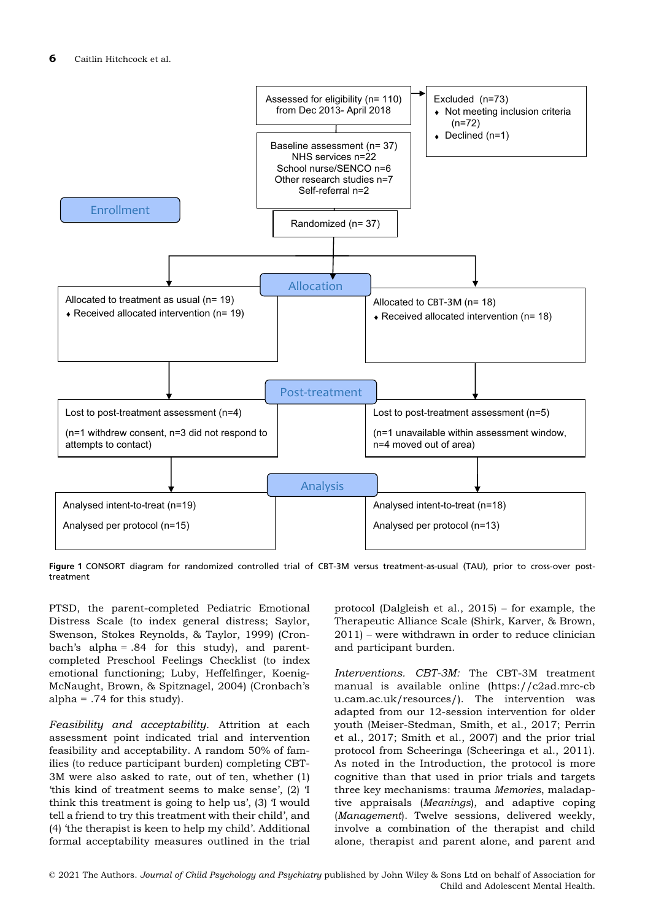

Figure 1 CONSORT diagram for randomized controlled trial of CBT-3M versus treatment-as-usual (TAU), prior to cross-over posttreatment

PTSD, the parent-completed Pediatric Emotional Distress Scale (to index general distress; Saylor, Swenson, Stokes Reynolds, & Taylor, 1999) (Cronbach's alpha = .84 for this study), and parentcompleted Preschool Feelings Checklist (to index emotional functioning; Luby, Heffelfinger, Koenig-McNaught, Brown, & Spitznagel, 2004) (Cronbach's alpha =  $.74$  for this study).

Feasibility and acceptability. Attrition at each assessment point indicated trial and intervention feasibility and acceptability. A random 50% of families (to reduce participant burden) completing CBT-3M were also asked to rate, out of ten, whether (1) 'this kind of treatment seems to make sense', (2) 'I think this treatment is going to help us', (3) 'I would tell a friend to try this treatment with their child', and (4) 'the therapist is keen to help my child'. Additional formal acceptability measures outlined in the trial protocol (Dalgleish et al., 2015) – for example, the Therapeutic Alliance Scale (Shirk, Karver, & Brown, 2011) – were withdrawn in order to reduce clinician and participant burden.

Interventions. CBT-3M: The CBT-3M treatment manual is available online [\(https://c2ad.mrc-cb](https://c2ad.mrc-cbu.cam.ac.uk/resources/) [u.cam.ac.uk/resources/\)](https://c2ad.mrc-cbu.cam.ac.uk/resources/). The intervention was adapted from our 12-session intervention for older youth (Meiser-Stedman, Smith, et al., 2017; Perrin et al., 2017; Smith et al., 2007) and the prior trial protocol from Scheeringa (Scheeringa et al., 2011). As noted in the Introduction, the protocol is more cognitive than that used in prior trials and targets three key mechanisms: trauma Memories, maladaptive appraisals (Meanings), and adaptive coping (Management). Twelve sessions, delivered weekly, involve a combination of the therapist and child alone, therapist and parent alone, and parent and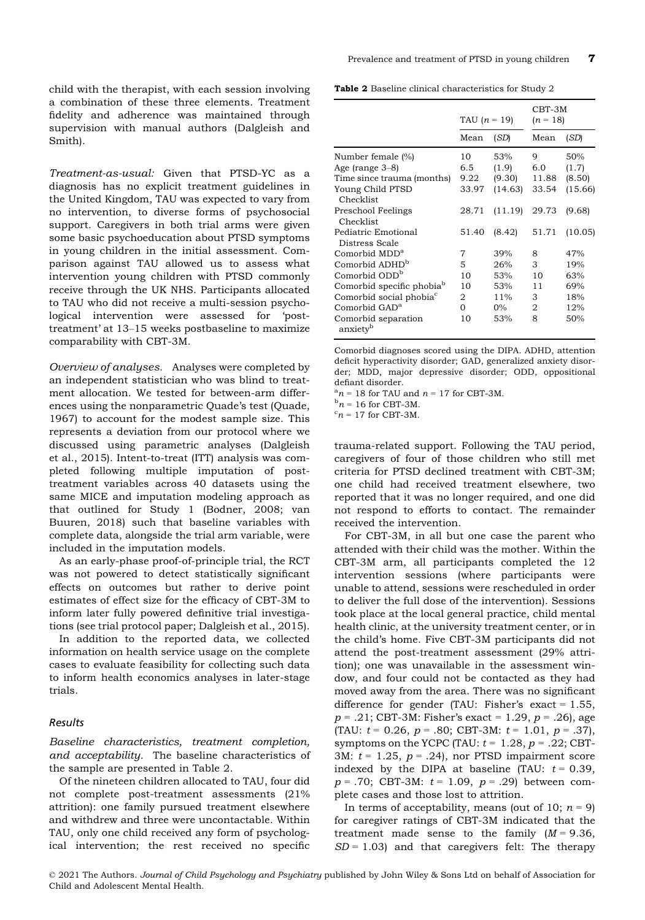child with the therapist, with each session involving a combination of these three elements. Treatment fidelity and adherence was maintained through supervision with manual authors (Dalgleish and Smith).

Treatment-as-usual: Given that PTSD-YC as a diagnosis has no explicit treatment guidelines in the United Kingdom, TAU was expected to vary from no intervention, to diverse forms of psychosocial support. Caregivers in both trial arms were given some basic psychoeducation about PTSD symptoms in young children in the initial assessment. Comparison against TAU allowed us to assess what intervention young children with PTSD commonly receive through the UK NHS. Participants allocated to TAU who did not receive a multi-session psychological intervention were assessed for 'posttreatment' at 13–15 weeks postbaseline to maximize comparability with CBT-3M.

Overview of analyses. Analyses were completed by an independent statistician who was blind to treatment allocation. We tested for between-arm differences using the nonparametric Quade's test (Quade, 1967) to account for the modest sample size. This represents a deviation from our protocol where we discussed using parametric analyses (Dalgleish et al., 2015). Intent-to-treat (ITT) analysis was completed following multiple imputation of posttreatment variables across 40 datasets using the same MICE and imputation modeling approach as that outlined for Study 1 (Bodner, 2008; van Buuren, 2018) such that baseline variables with complete data, alongside the trial arm variable, were included in the imputation models.

As an early-phase proof-of-principle trial, the RCT was not powered to detect statistically significant effects on outcomes but rather to derive point estimates of effect size for the efficacy of CBT-3M to inform later fully powered definitive trial investigations (see trial protocol paper; Dalgleish et al., 2015).

In addition to the reported data, we collected information on health service usage on the complete cases to evaluate feasibility for collecting such data to inform health economics analyses in later-stage trials.

#### Results

Baseline characteristics, treatment completion, and acceptability. The baseline characteristics of the sample are presented in Table 2.

Of the nineteen children allocated to TAU, four did not complete post-treatment assessments (21% attrition): one family pursued treatment elsewhere and withdrew and three were uncontactable. Within TAU, only one child received any form of psychological intervention; the rest received no specific

Table 2 Baseline clinical characteristics for Study 2

|                                             | TAU $(n = 19)$ |         | CBT-3M<br>$(n = 18)$ |         |
|---------------------------------------------|----------------|---------|----------------------|---------|
|                                             | Mean           | (SD)    | Mean                 | (SD)    |
| Number female (%)                           | 10             | 53%     | 9                    | 50%     |
| Age (range $3-8$ )                          | 6.5            | (1.9)   | 6.0                  | (1.7)   |
| Time since trauma (months)                  | 9.22           | (9.30)  | 11.88                | (8.50)  |
| Young Child PTSD<br>Checklist               | 33.97          | (14.63) | 33.54                | (15.66) |
| Preschool Feelings<br>Checklist             | 28.71          | (11.19) | 29.73                | (9.68)  |
| Pediatric Emotional<br>Distress Scale       | 51.40          | (8.42)  | 51.71                | (10.05) |
| Comorbid MDD <sup>a</sup>                   | 7              | 39%     | 8                    | 47%     |
| Comorbid ADHD <sup>b</sup>                  | 5              | 26%     | 3                    | 19%     |
| Comorbid ODD <sup>b</sup>                   | 10             | 53%     | 10                   | 63%     |
| Comorbid specific phobia <sup>b</sup>       | 10             | 53%     | 11                   | 69%     |
| Comorbid social phobia <sup>c</sup>         | 2              | $11\%$  | 3                    | 18%     |
| Comorbid GAD <sup>a</sup>                   | 0              | $0\%$   | 2                    | 12%     |
| Comorbid separation<br>anxiety <sup>b</sup> | 10             | 53%     | 8                    | 50%     |

Comorbid diagnoses scored using the DIPA. ADHD, attention deficit hyperactivity disorder; GAD, generalized anxiety disorder; MDD, major depressive disorder; ODD, oppositional defiant disorder.

 $n = 18$  for TAU and  $n = 17$  for CBT-3M.<br> $n = 16$  for CBT-3M

 $n = 16$  for CBT-3M.

 ${}^{\circ}n$  = 17 for CBT-3M.

trauma-related support. Following the TAU period, caregivers of four of those children who still met criteria for PTSD declined treatment with CBT-3M; one child had received treatment elsewhere, two reported that it was no longer required, and one did not respond to efforts to contact. The remainder received the intervention.

For CBT-3M, in all but one case the parent who attended with their child was the mother. Within the CBT-3M arm, all participants completed the 12 intervention sessions (where participants were unable to attend, sessions were rescheduled in order to deliver the full dose of the intervention). Sessions took place at the local general practice, child mental health clinic, at the university treatment center, or in the child's home. Five CBT-3M participants did not attend the post-treatment assessment (29% attrition); one was unavailable in the assessment window, and four could not be contacted as they had moved away from the area. There was no significant difference for gender (TAU: Fisher's exact =  $1.55$ ,  $p = .21$ ; CBT-3M: Fisher's exact = 1.29,  $p = .26$ ), age (TAU:  $t = 0.26$ ,  $p = .80$ ; CBT-3M:  $t = 1.01$ ,  $p = .37$ ), symptoms on the YCPC (TAU:  $t = 1.28$ ,  $p = .22$ ; CBT-3M:  $t = 1.25$ ,  $p = .24$ ), nor PTSD impairment score indexed by the DIPA at baseline (TAU:  $t = 0.39$ ,  $p = .70$ ; CBT-3M:  $t = 1.09$ ,  $p = .29$ ) between complete cases and those lost to attrition.

In terms of acceptability, means (out of 10;  $n = 9$ ) for caregiver ratings of CBT-3M indicated that the treatment made sense to the family  $(M = 9.36)$ ,  $SD = 1.03$ ) and that caregivers felt: The therapy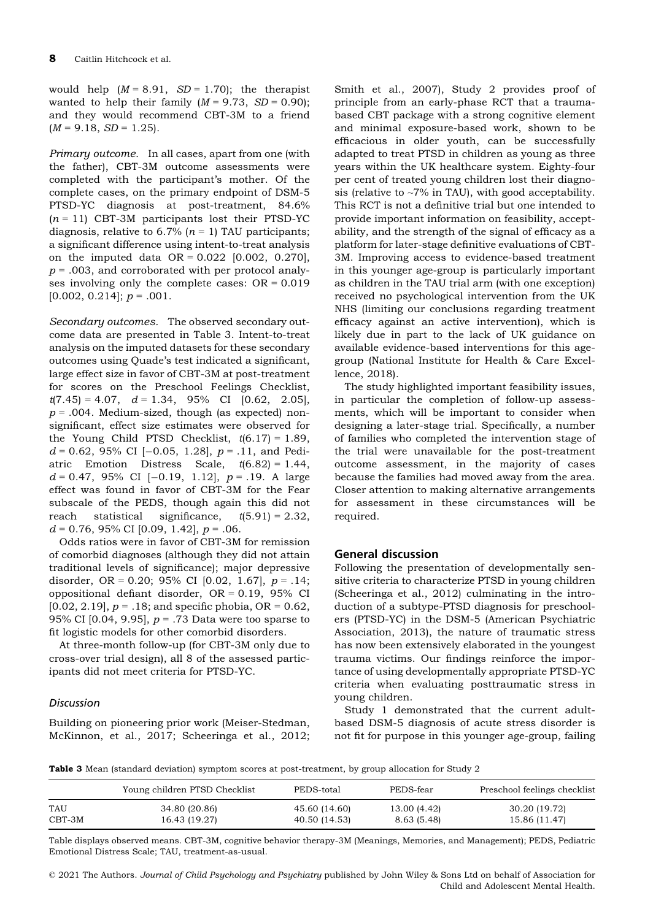would help  $(M = 8.91, SD = 1.70)$ ; the therapist wanted to help their family  $(M = 9.73, SD = 0.90)$ ; and they would recommend CBT-3M to a friend  $(M = 9.18, SD = 1.25).$ 

Primary outcome. In all cases, apart from one (with the father), CBT-3M outcome assessments were completed with the participant's mother. Of the complete cases, on the primary endpoint of DSM-5 PTSD-YC diagnosis at post-treatment, 84.6%  $(n = 11)$  CBT-3M participants lost their PTSD-YC diagnosis, relative to 6.7% ( $n = 1$ ) TAU participants; a significant difference using intent-to-treat analysis on the imputed data OR = 0.022 [0.002, 0.270],  $p = .003$ , and corroborated with per protocol analyses involving only the complete cases:  $OR = 0.019$  $[0.002, 0.214]$ ;  $p = .001$ .

Secondary outcomes. The observed secondary outcome data are presented in Table 3. Intent-to-treat analysis on the imputed datasets for these secondary outcomes using Quade's test indicated a significant, large effect size in favor of CBT-3M at post-treatment for scores on the Preschool Feelings Checklist,  $t(7.45) = 4.07$ ,  $d = 1.34$ , 95% CI [0.62, 2.05],  $p = .004$ . Medium-sized, though (as expected) nonsignificant, effect size estimates were observed for the Young Child PTSD Checklist,  $t(6.17) = 1.89$ ,  $d = 0.62$ , 95% CI [-0.05, 1.28],  $p = .11$ , and Pediatric Emotion Distress Scale,  $t(6.82) = 1.44$ ,  $d = 0.47, 95\% \text{ CI } [-0.19, 1.12], p = .19. \text{ A large}$ effect was found in favor of CBT-3M for the Fear subscale of the PEDS, though again this did not reach statistical significance,  $t(5.91) = 2.32$ ,  $d = 0.76, 95\% \text{ CI}$  [0.09, 1.42],  $p = .06$ .

Odds ratios were in favor of CBT-3M for remission of comorbid diagnoses (although they did not attain traditional levels of significance); major depressive disorder, OR = 0.20; 95% CI [0.02, 1.67],  $p = .14$ ; oppositional defiant disorder,  $OR = 0.19$ , 95% CI  $[0.02, 2.19]$ ,  $p = .18$ ; and specific phobia, OR = 0.62, 95% CI [0.04, 9.95],  $p = .73$  Data were too sparse to fit logistic models for other comorbid disorders.

At three-month follow-up (for CBT-3M only due to cross-over trial design), all 8 of the assessed participants did not meet criteria for PTSD-YC.

#### **Discussion**

Building on pioneering prior work (Meiser-Stedman, McKinnon, et al., 2017; Scheeringa et al., 2012;

Smith et al., 2007), Study 2 provides proof of principle from an early-phase RCT that a traumabased CBT package with a strong cognitive element and minimal exposure-based work, shown to be efficacious in older youth, can be successfully adapted to treat PTSD in children as young as three years within the UK healthcare system. Eighty-four per cent of treated young children lost their diagnosis (relative to  $\sim$ 7% in TAU), with good acceptability. This RCT is not a definitive trial but one intended to provide important information on feasibility, acceptability, and the strength of the signal of efficacy as a platform for later-stage definitive evaluations of CBT-3M. Improving access to evidence-based treatment in this younger age-group is particularly important as children in the TAU trial arm (with one exception) received no psychological intervention from the UK NHS (limiting our conclusions regarding treatment efficacy against an active intervention), which is likely due in part to the lack of UK guidance on available evidence-based interventions for this agegroup (National Institute for Health & Care Excellence, 2018).

The study highlighted important feasibility issues, in particular the completion of follow-up assessments, which will be important to consider when designing a later-stage trial. Specifically, a number of families who completed the intervention stage of the trial were unavailable for the post-treatment outcome assessment, in the majority of cases because the families had moved away from the area. Closer attention to making alternative arrangements for assessment in these circumstances will be required.

#### General discussion

Following the presentation of developmentally sensitive criteria to characterize PTSD in young children (Scheeringa et al., 2012) culminating in the introduction of a subtype-PTSD diagnosis for preschoolers (PTSD-YC) in the DSM-5 (American Psychiatric Association, 2013), the nature of traumatic stress has now been extensively elaborated in the youngest trauma victims. Our findings reinforce the importance of using developmentally appropriate PTSD-YC criteria when evaluating posttraumatic stress in young children.

Study 1 demonstrated that the current adultbased DSM-5 diagnosis of acute stress disorder is not fit for purpose in this younger age-group, failing

Table 3 Mean (standard deviation) symptom scores at post-treatment, by group allocation for Study 2

|            | Young children PTSD Checklist | PEDS-total    | PEDS-fear    | Preschool feelings checklist |
|------------|-------------------------------|---------------|--------------|------------------------------|
| <b>TAU</b> | 34.80 (20.86)                 | 45.60 (14.60) | 13.00 (4.42) | 30.20 (19.72)                |
| $CBT-3M$   | 16.43 (19.27)                 | 40.50 (14.53) | 8.63 (5.48)  | 15.86 (11.47)                |

Table displays observed means. CBT-3M, cognitive behavior therapy-3M (Meanings, Memories, and Management); PEDS, Pediatric Emotional Distress Scale; TAU, treatment-as-usual.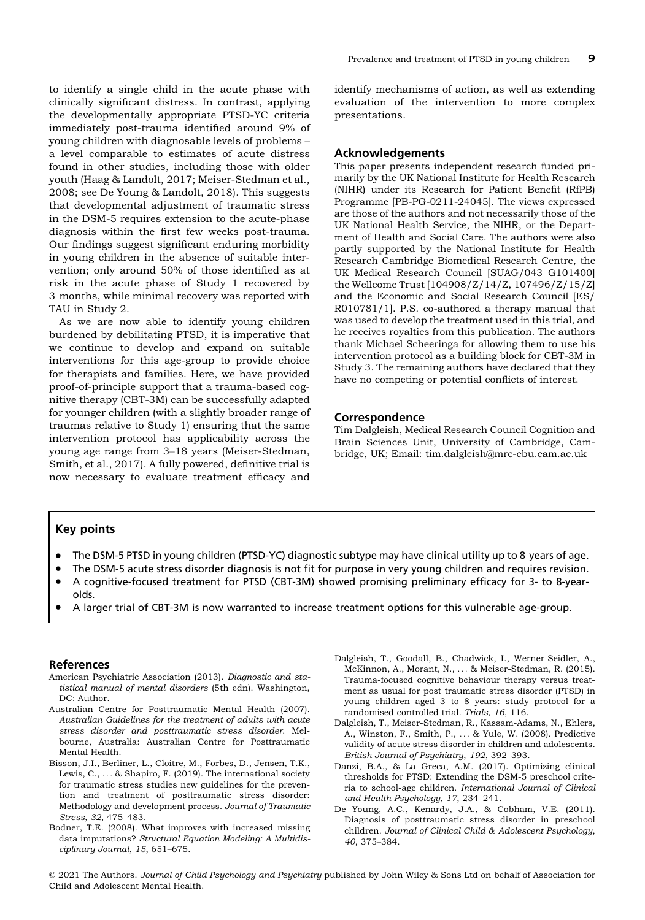to identify a single child in the acute phase with clinically significant distress. In contrast, applying the developmentally appropriate PTSD-YC criteria immediately post-trauma identified around 9% of young children with diagnosable levels of problems – a level comparable to estimates of acute distress found in other studies, including those with older youth (Haag & Landolt, 2017; Meiser-Stedman et al., 2008; see De Young & Landolt, 2018). This suggests that developmental adjustment of traumatic stress in the DSM-5 requires extension to the acute-phase diagnosis within the first few weeks post-trauma. Our findings suggest significant enduring morbidity in young children in the absence of suitable intervention; only around 50% of those identified as at risk in the acute phase of Study 1 recovered by 3 months, while minimal recovery was reported with TAU in Study 2.

As we are now able to identify young children burdened by debilitating PTSD, it is imperative that we continue to develop and expand on suitable interventions for this age-group to provide choice for therapists and families. Here, we have provided proof-of-principle support that a trauma-based cognitive therapy (CBT-3M) can be successfully adapted for younger children (with a slightly broader range of traumas relative to Study 1) ensuring that the same intervention protocol has applicability across the young age range from 3–18 years (Meiser-Stedman, Smith, et al., 2017). A fully powered, definitive trial is now necessary to evaluate treatment efficacy and

identify mechanisms of action, as well as extending evaluation of the intervention to more complex presentations.

#### Acknowledgements

This paper presents independent research funded primarily by the UK National Institute for Health Research (NIHR) under its Research for Patient Benefit (RfPB) Programme [PB-PG-0211-24045]. The views expressed are those of the authors and not necessarily those of the UK National Health Service, the NIHR, or the Department of Health and Social Care. The authors were also partly supported by the National Institute for Health Research Cambridge Biomedical Research Centre, the UK Medical Research Council [SUAG/043 G101400] the Wellcome Trust [104908/Z/14/Z, 107496/Z/15/Z] and the Economic and Social Research Council [ES/ R010781/1]. P.S. co-authored a therapy manual that was used to develop the treatment used in this trial, and he receives royalties from this publication. The authors thank Michael Scheeringa for allowing them to use his intervention protocol as a building block for CBT-3M in Study 3. The remaining authors have declared that they have no competing or potential conflicts of interest.

#### Correspondence

Tim Dalgleish, Medical Research Council Cognition and Brain Sciences Unit, University of Cambridge, Cambridge, UK; Email: tim.dalgleish@mrc-cbu.cam.ac.uk

## Key points

- The DSM-5 PTSD in young children (PTSD-YC) diagnostic subtype may have clinical utility up to 8 years of age.
- The DSM-5 acute stress disorder diagnosis is not fit for purpose in very young children and requires revision.
- A cognitive-focused treatment for PTSD (CBT-3M) showed promising preliminary efficacy for 3- to 8-yearolds.
- A larger trial of CBT-3M is now warranted to increase treatment options for this vulnerable age-group.

#### References

- American Psychiatric Association (2013). Diagnostic and statistical manual of mental disorders (5th edn). Washington, DC: Author.
- Australian Centre for Posttraumatic Mental Health (2007). Australian Guidelines for the treatment of adults with acute stress disorder and posttraumatic stress disorder. Melbourne, Australia: Australian Centre for Posttraumatic Mental Health.
- Bisson, J.I., Berliner, L., Cloitre, M., Forbes, D., Jensen, T.K., Lewis, C., ... & Shapiro, F. (2019). The international society for traumatic stress studies new guidelines for the prevention and treatment of posttraumatic stress disorder: Methodology and development process. Journal of Traumatic Stress, 32, 475–483.
- Bodner, T.E. (2008). What improves with increased missing data imputations? Structural Equation Modeling: A Multidisciplinary Journal, 15, 651–675.
- Dalgleish, T., Goodall, B., Chadwick, I., Werner-Seidler, A., McKinnon, A., Morant, N., ... & Meiser-Stedman, R. (2015). Trauma-focused cognitive behaviour therapy versus treatment as usual for post traumatic stress disorder (PTSD) in young children aged 3 to 8 years: study protocol for a randomised controlled trial. Trials, 16, 116.
- Dalgleish, T., Meiser-Stedman, R., Kassam-Adams, N., Ehlers, A., Winston, F., Smith, P., ... & Yule, W. (2008). Predictive validity of acute stress disorder in children and adolescents. British Journal of Psychiatry, 192, 392–393.
- Danzi, B.A., & La Greca, A.M. (2017). Optimizing clinical thresholds for PTSD: Extending the DSM-5 preschool criteria to school-age children. International Journal of Clinical and Health Psychology, 17, 234–241.
- De Young, A.C., Kenardy, J.A., & Cobham, V.E. (2011). Diagnosis of posttraumatic stress disorder in preschool children. Journal of Clinical Child & Adolescent Psychology, 40, 375–384.